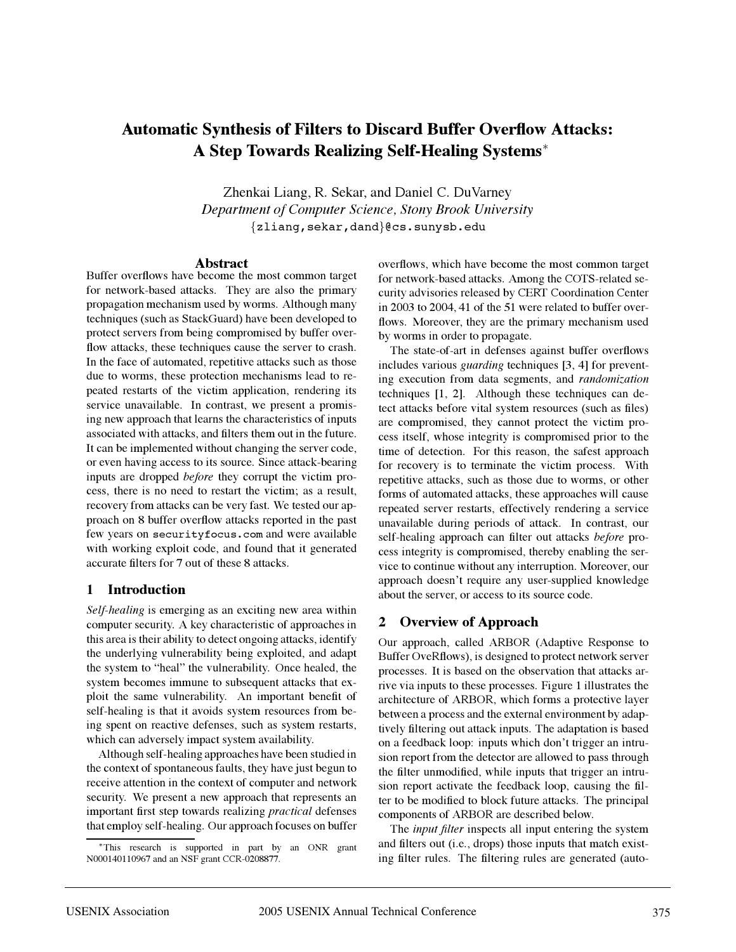# **Automatic Synthesis of Filters to Discard Buffer Overflow Attacks: A Step Towards Realizing Self-Healing Systems**<sup>∗</sup>

Zhenkai Liang, R. Sekar, and Daniel C. DuVarney *Department of Computer Science, Stony Brook University* {zliang,sekar,dand}@cs.sunysb.edu

#### **Abstract**

Buffer overflows have become the most common target for network-based attacks. They are also the primary propagation mechanism used by worms. Although many techniques (such as StackGuard) have been developed to protect servers from being compromised by buffer overflow attacks, these techniques cause the server to crash. In the face of automated, repetitive attacks such as those due to worms, these protection mechanisms lead to repeated restarts of the victim application, rendering its service unavailable. In contrast, we present a promising new approach that learns the characteristics of inputs associated with attacks, and filters them out in the future. It can be implemented without changing the server code, or even having access to its source. Since attack-bearing inputs are dropped *before* they corrupt the victim process, there is no need to restart the victim; as a result, recovery from attacks can be very fast. We tested our approach on 8 buffer overflow attacks reported in the past few years on securityfocus.com and were available with working exploit code, and found that it generated accurate filters for 7 out of these 8 attacks.

#### **1 Introduction**

*Self-healing* is emerging as an exciting new area within computer security. A key characteristic of approaches in this area is their ability to detect ongoing attacks, identify the underlying vulnerability being exploited, and adapt the system to "heal" the vulnerability. Once healed, the system becomes immune to subsequent attacks that exploit the same vulnerability. An important benefit of self-healing is that it avoids system resources from being spent on reactive defenses, such as system restarts, which can adversely impact system availability.

Although self-healing approaches have been studied in the context of spontaneous faults, they have just begun to receive attention in the context of computer and network security. We present a new approach that represents an important first step towards realizing *practical* defenses that employ self-healing. Our approach focuses on buffer overflows, which have become the most common target for network-based attacks. Among the COTS-related security advisories released by CERT Coordination Center in 2003 to 2004, 41 of the 51 were related to buffer overflows. Moreover, they are the primary mechanism used by worms in order to propagate.

The state-of-art in defenses against buffer overflows includes various *guarding* techniques [3, 4] for preventing execution from data segments, and *randomization* techniques [1, 2]. Although these techniques can detect attacks before vital system resources (such as files) are compromised, they cannot protect the victim process itself, whose integrity is compromised prior to the time of detection. For this reason, the safest approach for recovery is to terminate the victim process. With repetitive attacks, such as those due to worms, or other forms of automated attacks, these approaches will cause repeated server restarts, effectively rendering a service unavailable during periods of attack. In contrast, our self-healing approach can filter out attacks *before* process integrity is compromised, thereby enabling the service to continue without any interruption. Moreover, our approach doesn't require any user-supplied knowledge about the server, or access to its source code.

# **2 Overview of Approach**

Our approach, called ARBOR (Adaptive Response to Buffer OveRflows), is designed to protect network server processes. It is based on the observation that attacks arrive via inputs to these processes. Figure 1 illustrates the architecture of ARBOR, which forms a protective layer between a process and the external environment by adaptively filtering out attack inputs. The adaptation is based on a feedback loop: inputs which don't trigger an intrusion report from the detector are allowed to pass through the filter unmodified, while inputs that trigger an intrusion report activate the feedback loop, causing the filter to be modified to block future attacks. The principal components of ARBOR are described below.

The *input filter* inspects all input entering the system and filters out (i.e., drops) those inputs that match existing filter rules. The filtering rules are generated (auto-

<sup>∗</sup>This research is supported in part by an ONR grant N000140110967 and an NSF grant CCR-0208877.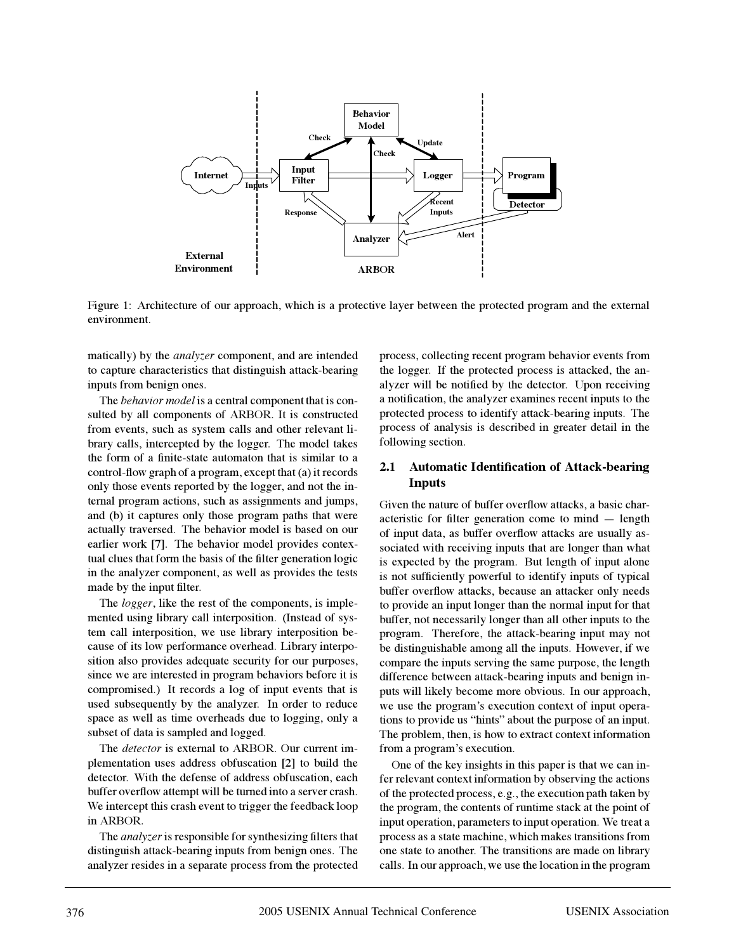

Figure 1: Architecture of our approach, which is a protective layer between the protected program and the external environment.

matically) by the *analyzer* component, and are intended to capture characteristics that distinguish attack-bearing inputs from benign ones.

The *behavior model* is a central component that is consulted by all components of ARBOR. It is constructed from events, such as system calls and other relevant library calls, intercepted by the logger. The model takes the form of a finite-state automaton that is similar to a control-flow graph of a program, except that (a) it records only those events reported by the logger, and not the internal program actions, such as assignments and jumps, and (b) it captures only those program paths that were actually traversed. The behavior model is based on our earlier work [7]. The behavior model provides contextual clues that form the basis of the filter generation logic in the analyzer component, as well as provides the tests made by the input filter.

The *logger*, like the rest of the components, is implemented using library call interposition. (Instead of system call interposition, we use library interposition because of its low performance overhead. Library interposition also provides adequate security for our purposes, since we are interested in program behaviors before it is compromised.) It records a log of input events that is used subsequently by the analyzer. In order to reduce space as well as time overheads due to logging, only a subset of data is sampled and logged.

The *detector* is external to ARBOR. Our current implementation uses address obfuscation [2] to build the detector. With the defense of address obfuscation, each buffer overflow attempt will be turned into a server crash. We intercept this crash event to trigger the feedback loop in ARBOR.

The *analyzer*is responsible for synthesizing filters that distinguish attack-bearing inputs from benign ones. The analyzer resides in a separate process from the protected process, collecting recent program behavior events from the logger. If the protected process is attacked, the analyzer will be notified by the detector. Upon receiving a notification, the analyzer examines recent inputs to the protected process to identify attack-bearing inputs. The process of analysis is described in greater detail in the following section.

## **2.1 Automatic Identification of Attack-bearing Inputs**

Given the nature of buffer overflow attacks, a basic characteristic for filter generation come to mind — length of input data, as buffer overflow attacks are usually associated with receiving inputs that are longer than what is expected by the program. But length of input alone is not sufficiently powerful to identify inputs of typical buffer overflow attacks, because an attacker only needs to provide an input longer than the normal input for that buffer, not necessarily longer than all other inputs to the program. Therefore, the attack-bearing input may not be distinguishable among all the inputs. However, if we compare the inputs serving the same purpose, the length difference between attack-bearing inputs and benign inputs will likely become more obvious. In our approach, we use the program's execution context of input operations to provide us "hints" about the purpose of an input. The problem, then, is how to extract context information from a program's execution.

One of the key insights in this paper is that we can infer relevant context information by observing the actions of the protected process, e.g., the execution path taken by the program, the contents of runtime stack at the point of input operation, parameters to input operation. We treat a process as a state machine, which makes transitions from one state to another. The transitions are made on library calls. In our approach, we use the location in the program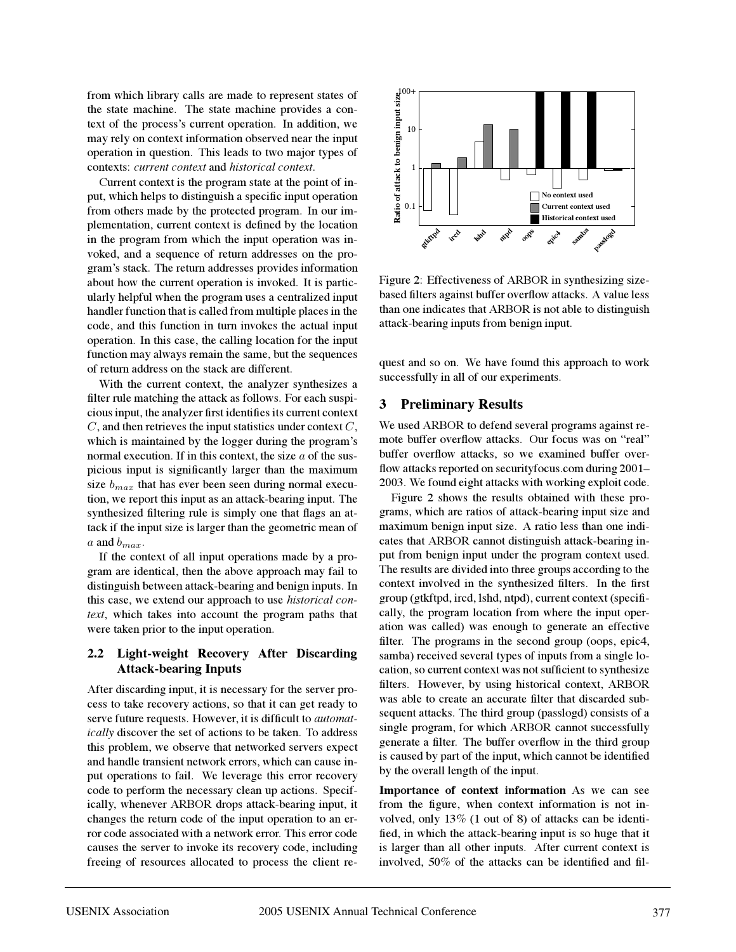from which library calls are made to represent states of the state machine. The state machine provides a context of the process's current operation. In addition, we may rely on context information observed near the input operation in question. This leads to two major types of contexts: *current context* and *historical context*.

Current context is the program state at the point of input, which helps to distinguish a specific input operation from others made by the protected program. In our implementation, current context is defined by the location in the program from which the input operation was invoked, and a sequence of return addresses on the program's stack. The return addresses provides information about how the current operation is invoked. It is particularly helpful when the program uses a centralized input handler function that is called from multiple places in the code, and this function in turn invokes the actual input operation. In this case, the calling location for the input function may always remain the same, but the sequences of return address on the stack are different.

With the current context, the analyzer synthesizes a filter rule matching the attack as follows. For each suspicious input, the analyzer first identifies its current context  $C$ , and then retrieves the input statistics under context  $C$ , which is maintained by the logger during the program's normal execution. If in this context, the size  $a$  of the suspicious input is significantly larger than the maximum size  $b_{max}$  that has ever been seen during normal execution, we report this input as an attack-bearing input. The synthesized filtering rule is simply one that flags an attack if the input size is larger than the geometric mean of a and  $b_{max}$ .

If the context of all input operations made by a program are identical, then the above approach may fail to distinguish between attack-bearing and benign inputs. In this case, we extend our approach to use *historical context*, which takes into account the program paths that were taken prior to the input operation.

# **2.2 Light-weight Recovery After Discarding Attack-bearing Inputs**

After discarding input, it is necessary for the server process to take recovery actions, so that it can get ready to serve future requests. However, it is difficult to *automatically* discover the set of actions to be taken. To address this problem, we observe that networked servers expect and handle transient network errors, which can cause input operations to fail. We leverage this error recovery code to perform the necessary clean up actions. Specifically, whenever ARBOR drops attack-bearing input, it changes the return code of the input operation to an error code associated with a network error. This error code causes the server to invoke its recovery code, including freeing of resources allocated to process the client re-



Figure 2: Effectiveness of ARBOR in synthesizing sizebased filters against buffer overflow attacks. A value less than one indicates that ARBOR is not able to distinguish attack-bearing inputs from benign input.

quest and so on. We have found this approach to work successfully in all of our experiments.

## **3 Preliminary Results**

We used ARBOR to defend several programs against remote buffer overflow attacks. Our focus was on "real" buffer overflow attacks, so we examined buffer overflow attacks reported on securityfocus.com during 2001– 2003. We found eight attacks with working exploit code.

Figure 2 shows the results obtained with these programs, which are ratios of attack-bearing input size and maximum benign input size. A ratio less than one indicates that ARBOR cannot distinguish attack-bearing input from benign input under the program context used. The results are divided into three groups according to the context involved in the synthesized filters. In the first group (gtkftpd, ircd, lshd, ntpd), current context (specifically, the program location from where the input operation was called) was enough to generate an effective filter. The programs in the second group (oops, epic4, samba) received several types of inputs from a single location, so current context was not sufficient to synthesize filters. However, by using historical context, ARBOR was able to create an accurate filter that discarded subsequent attacks. The third group (passlogd) consists of a single program, for which ARBOR cannot successfully generate a filter. The buffer overflow in the third group is caused by part of the input, which cannot be identified by the overall length of the input.

**Importance of context information** As we can see from the figure, when context information is not involved, only 13% (1 out of 8) of attacks can be identified, in which the attack-bearing input is so huge that it is larger than all other inputs. After current context is involved, 50% of the attacks can be identified and fil-